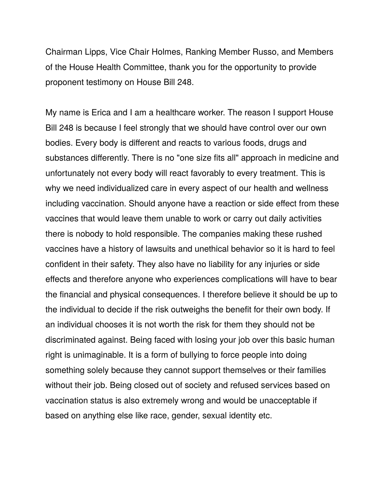Chairman Lipps, Vice Chair Holmes, Ranking Member Russo, and Members of the House Health Committee, thank you for the opportunity to provide proponent testimony on House Bill 248.

My name is Erica and I am a healthcare worker. The reason I support House Bill 248 is because I feel strongly that we should have control over our own bodies. Every body is different and reacts to various foods, drugs and substances differently. There is no "one size fits all" approach in medicine and unfortunately not every body will react favorably to every treatment. This is why we need individualized care in every aspect of our health and wellness including vaccination. Should anyone have a reaction or side effect from these vaccines that would leave them unable to work or carry out daily activities there is nobody to hold responsible. The companies making these rushed vaccines have a history of lawsuits and unethical behavior so it is hard to feel confident in their safety. They also have no liability for any injuries or side effects and therefore anyone who experiences complications will have to bear the financial and physical consequences. I therefore believe it should be up to the individual to decide if the risk outweighs the benefit for their own body. If an individual chooses it is not worth the risk for them they should not be discriminated against. Being faced with losing your job over this basic human right is unimaginable. It is a form of bullying to force people into doing something solely because they cannot support themselves or their families without their job. Being closed out of society and refused services based on vaccination status is also extremely wrong and would be unacceptable if based on anything else like race, gender, sexual identity etc.